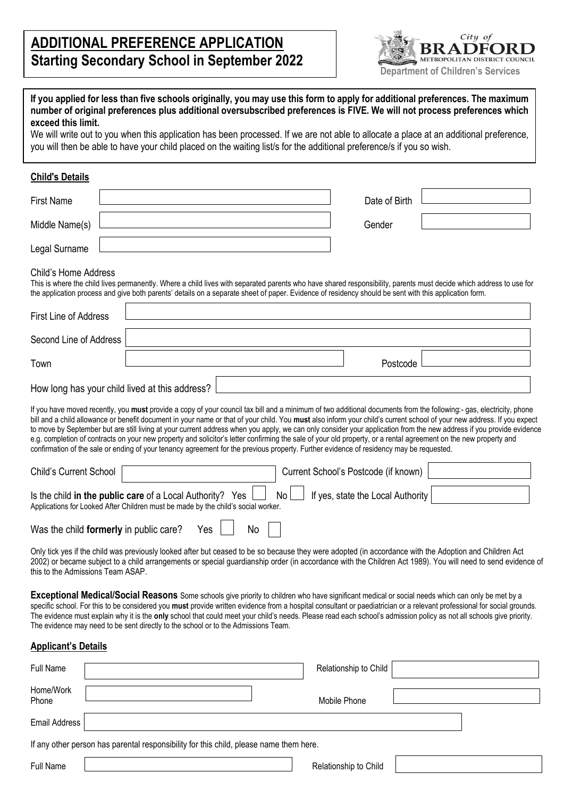## **ADDITIONAL PREFERENCE APPLICATION Starting Secondary School in September 2022**



| exceed this limit.                | you will then be able to have your child placed on the waiting list/s for the additional preference/s if you so wish.                                 |                 |                                      | If you applied for less than five schools originally, you may use this form to apply for additional preferences. The maximum<br>number of original preferences plus additional oversubscribed preferences is FIVE. We will not process preferences which<br>We will write out to you when this application has been processed. If we are not able to allocate a place at an additional preference,                                                                                                                                                                                                                                                                                        |
|-----------------------------------|-------------------------------------------------------------------------------------------------------------------------------------------------------|-----------------|--------------------------------------|-------------------------------------------------------------------------------------------------------------------------------------------------------------------------------------------------------------------------------------------------------------------------------------------------------------------------------------------------------------------------------------------------------------------------------------------------------------------------------------------------------------------------------------------------------------------------------------------------------------------------------------------------------------------------------------------|
| <b>Child's Details</b>            |                                                                                                                                                       |                 |                                      |                                                                                                                                                                                                                                                                                                                                                                                                                                                                                                                                                                                                                                                                                           |
| <b>First Name</b>                 |                                                                                                                                                       |                 | Date of Birth                        |                                                                                                                                                                                                                                                                                                                                                                                                                                                                                                                                                                                                                                                                                           |
| Middle Name(s)                    |                                                                                                                                                       |                 | Gender                               |                                                                                                                                                                                                                                                                                                                                                                                                                                                                                                                                                                                                                                                                                           |
| Legal Surname                     |                                                                                                                                                       |                 |                                      |                                                                                                                                                                                                                                                                                                                                                                                                                                                                                                                                                                                                                                                                                           |
| <b>Child's Home Address</b>       | the application process and give both parents' details on a separate sheet of paper. Evidence of residency should be sent with this application form. |                 |                                      | This is where the child lives permanently. Where a child lives with separated parents who have shared responsibility, parents must decide which address to use for                                                                                                                                                                                                                                                                                                                                                                                                                                                                                                                        |
| <b>First Line of Address</b>      |                                                                                                                                                       |                 |                                      |                                                                                                                                                                                                                                                                                                                                                                                                                                                                                                                                                                                                                                                                                           |
| Second Line of Address            |                                                                                                                                                       |                 |                                      |                                                                                                                                                                                                                                                                                                                                                                                                                                                                                                                                                                                                                                                                                           |
| Town                              |                                                                                                                                                       |                 | Postcode                             |                                                                                                                                                                                                                                                                                                                                                                                                                                                                                                                                                                                                                                                                                           |
|                                   | How long has your child lived at this address?                                                                                                        |                 |                                      |                                                                                                                                                                                                                                                                                                                                                                                                                                                                                                                                                                                                                                                                                           |
| <b>Child's Current School</b>     | confirmation of the sale or ending of your tenancy agreement for the previous property. Further evidence of residency may be requested.               |                 | Current School's Postcode (if known) | If you have moved recently, you must provide a copy of your council tax bill and a minimum of two additional documents from the following:- gas, electricity, phone<br>bill and a child allowance or benefit document in your name or that of your child. You must also inform your child's current school of your new address. If you expect<br>to move by September but are still living at your current address when you apply, we can only consider your application from the new address if you provide evidence<br>e.g. completion of contracts on your new property and solicitor's letter confirming the sale of your old property, or a rental agreement on the new property and |
|                                   | Is the child in the public care of a Local Authority? Yes<br>Applications for Looked After Children must be made by the child's social worker.        | No <sub>1</sub> | If yes, state the Local Authority    |                                                                                                                                                                                                                                                                                                                                                                                                                                                                                                                                                                                                                                                                                           |
|                                   | Was the child formerly in public care?<br>Yes                                                                                                         | No              |                                      |                                                                                                                                                                                                                                                                                                                                                                                                                                                                                                                                                                                                                                                                                           |
| this to the Admissions Team ASAP. |                                                                                                                                                       |                 |                                      | Only tick yes if the child was previously looked after but ceased to be so because they were adopted (in accordance with the Adoption and Children Act<br>2002) or became subject to a child arrangements or special guardianship order (in accordance with the Children Act 1989). You will need to send evidence of                                                                                                                                                                                                                                                                                                                                                                     |
|                                   | The evidence may need to be sent directly to the school or to the Admissions Team.                                                                    |                 |                                      | Exceptional Medical/Social Reasons Some schools give priority to children who have significant medical or social needs which can only be met by a<br>specific school. For this to be considered you must provide written evidence from a hospital consultant or paediatrician or a relevant professional for social grounds.<br>The evidence must explain why it is the only school that could meet your child's needs. Please read each school's admission policy as not all schools give priority.                                                                                                                                                                                      |
| <b>Applicant's Details</b>        |                                                                                                                                                       |                 |                                      |                                                                                                                                                                                                                                                                                                                                                                                                                                                                                                                                                                                                                                                                                           |
| <b>Full Name</b>                  |                                                                                                                                                       |                 | Relationship to Child                |                                                                                                                                                                                                                                                                                                                                                                                                                                                                                                                                                                                                                                                                                           |

| Full Natile          | Relationship to Critic                                                                 |
|----------------------|----------------------------------------------------------------------------------------|
| Home/Work<br>Phone   | Mobile Phone                                                                           |
| <b>Email Address</b> |                                                                                        |
|                      | If any other person has parental responsibility for this child, please name them here. |
| Full Name            | Relationship to Child                                                                  |